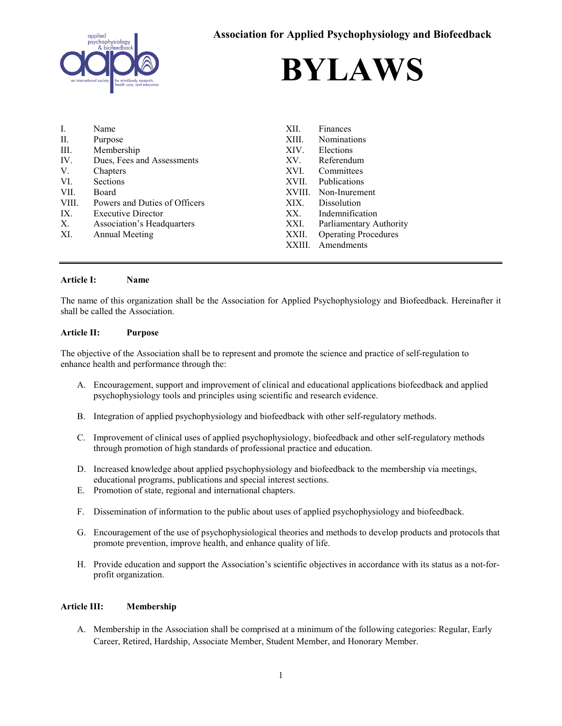



| I.    | Name                          | XII.   | Finances                    |
|-------|-------------------------------|--------|-----------------------------|
| П.    | Purpose                       | XIII.  | <b>Nominations</b>          |
| III.  | Membership                    | XIV.   | Elections                   |
| IV.   | Dues, Fees and Assessments    | XV.    | Referendum                  |
| V.    | Chapters                      | XVI.   | Committees                  |
| VI.   | Sections                      | XVII.  | Publications                |
| VII.  | Board                         | XVIII. | Non-Inurement               |
| VIII. | Powers and Duties of Officers | XIX.   | <b>Dissolution</b>          |
| IX.   | <b>Executive Director</b>     | XX.    | Indemnification             |
| X.    | Association's Headquarters    | XXI.   | Parliamentary Authority     |
| XI.   | Annual Meeting                | XXII.  | <b>Operating Procedures</b> |
|       |                               | XXIII. | Amendments                  |

#### **Article I: Name**

The name of this organization shall be the Association for Applied Psychophysiology and Biofeedback. Hereinafter it shall be called the Association.

#### **Article II: Purpose**

The objective of the Association shall be to represent and promote the science and practice of self-regulation to enhance health and performance through the:

- A. Encouragement, support and improvement of clinical and educational applications biofeedback and applied psychophysiology tools and principles using scientific and research evidence.
- B. Integration of applied psychophysiology and biofeedback with other self-regulatory methods.
- C. Improvement of clinical uses of applied psychophysiology, biofeedback and other self-regulatory methods through promotion of high standards of professional practice and education.
- D. Increased knowledge about applied psychophysiology and biofeedback to the membership via meetings, educational programs, publications and special interest sections.
- E. Promotion of state, regional and international chapters.
- F. Dissemination of information to the public about uses of applied psychophysiology and biofeedback.
- G. Encouragement of the use of psychophysiological theories and methods to develop products and protocols that promote prevention, improve health, and enhance quality of life.
- H. Provide education and support the Association's scientific objectives in accordance with its status as a not-forprofit organization.

#### **Article III: Membership**

A. Membership in the Association shall be comprised at a minimum of the following categories: Regular, Early Career, Retired, Hardship, Associate Member, Student Member, and Honorary Member.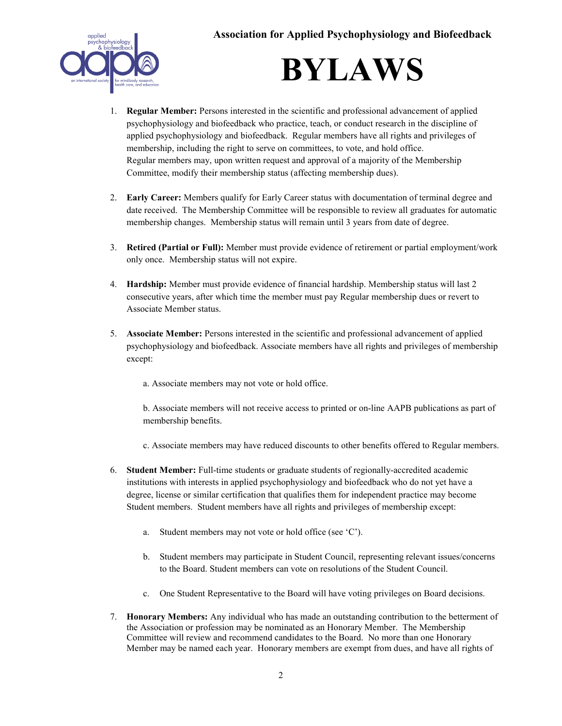



- 1. **Regular Member:** Persons interested in the scientific and professional advancement of applied psychophysiology and biofeedback who practice, teach, or conduct research in the discipline of applied psychophysiology and biofeedback. Regular members have all rights and privileges of membership, including the right to serve on committees, to vote, and hold office. Regular members may, upon written request and approval of a majority of the Membership Committee, modify their membership status (affecting membership dues).
- 2. **Early Career:** Members qualify for Early Career status with documentation of terminal degree and date received. The Membership Committee will be responsible to review all graduates for automatic membership changes. Membership status will remain until 3 years from date of degree.
- 3. **Retired (Partial or Full):** Member must provide evidence of retirement or partial employment/work only once. Membership status will not expire.
- 4. **Hardship:** Member must provide evidence of financial hardship. Membership status will last 2 consecutive years, after which time the member must pay Regular membership dues or revert to Associate Member status.
- 5. **Associate Member:** Persons interested in the scientific and professional advancement of applied psychophysiology and biofeedback. Associate members have all rights and privileges of membership except:
	- a. Associate members may not vote or hold office.

b. Associate members will not receive access to printed or on-line AAPB publications as part of membership benefits.

- c. Associate members may have reduced discounts to other benefits offered to Regular members.
- 6. **Student Member:** Full-time students or graduate students of regionally-accredited academic institutions with interests in applied psychophysiology and biofeedback who do not yet have a degree, license or similar certification that qualifies them for independent practice may become Student members. Student members have all rights and privileges of membership except:
	- a. Student members may not vote or hold office (see 'C').
	- b. Student members may participate in Student Council, representing relevant issues/concerns to the Board. Student members can vote on resolutions of the Student Council.
	- c. One Student Representative to the Board will have voting privileges on Board decisions.
- 7. **Honorary Members:** Any individual who has made an outstanding contribution to the betterment of the Association or profession may be nominated as an Honorary Member. The Membership Committee will review and recommend candidates to the Board. No more than one Honorary Member may be named each year. Honorary members are exempt from dues, and have all rights of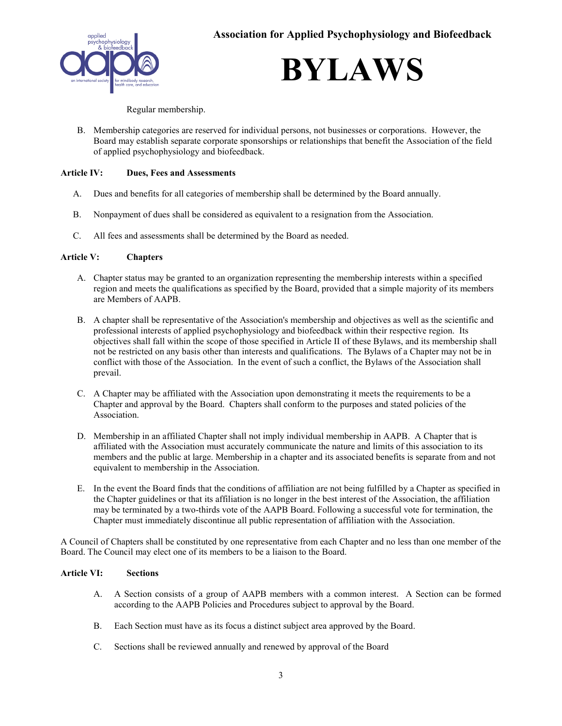

**BYLAWS**

Regular membership.

B. Membership categories are reserved for individual persons, not businesses or corporations. However, the Board may establish separate corporate sponsorships or relationships that benefit the Association of the field of applied psychophysiology and biofeedback.

## **Article IV: Dues, Fees and Assessments**

- A. Dues and benefits for all categories of membership shall be determined by the Board annually.
- B. Nonpayment of dues shall be considered as equivalent to a resignation from the Association.
- C. All fees and assessments shall be determined by the Board as needed.

## **Article V: Chapters**

- A. Chapter status may be granted to an organization representing the membership interests within a specified region and meets the qualifications as specified by the Board, provided that a simple majority of its members are Members of AAPB.
- B. A chapter shall be representative of the Association's membership and objectives as well as the scientific and professional interests of applied psychophysiology and biofeedback within their respective region. Its objectives shall fall within the scope of those specified in Article II of these Bylaws, and its membership shall not be restricted on any basis other than interests and qualifications. The Bylaws of a Chapter may not be in conflict with those of the Association. In the event of such a conflict, the Bylaws of the Association shall prevail.
- C. A Chapter may be affiliated with the Association upon demonstrating it meets the requirements to be a Chapter and approval by the Board. Chapters shall conform to the purposes and stated policies of the Association.
- D. Membership in an affiliated Chapter shall not imply individual membership in AAPB. A Chapter that is affiliated with the Association must accurately communicate the nature and limits of this association to its members and the public at large. Membership in a chapter and its associated benefits is separate from and not equivalent to membership in the Association.
- E. In the event the Board finds that the conditions of affiliation are not being fulfilled by a Chapter as specified in the Chapter guidelines or that its affiliation is no longer in the best interest of the Association, the affiliation may be terminated by a two-thirds vote of the AAPB Board. Following a successful vote for termination, the Chapter must immediately discontinue all public representation of affiliation with the Association.

A Council of Chapters shall be constituted by one representative from each Chapter and no less than one member of the Board. The Council may elect one of its members to be a liaison to the Board.

## **Article VI: Sections**

- A. A Section consists of a group of AAPB members with a common interest. A Section can be formed according to the AAPB Policies and Procedures subject to approval by the Board.
- B. Each Section must have as its focus a distinct subject area approved by the Board.
- C. Sections shall be reviewed annually and renewed by approval of the Board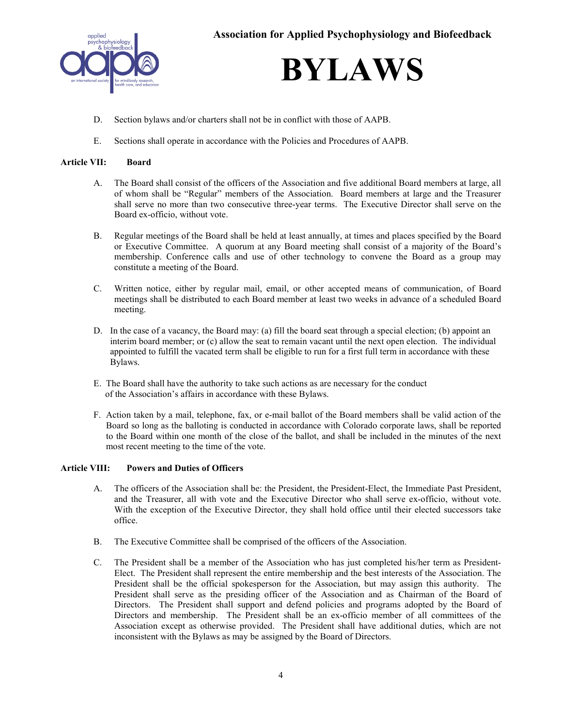

# **BYLAWS**

- D. Section bylaws and/or charters shall not be in conflict with those of AAPB.
- E. Sections shall operate in accordance with the Policies and Procedures of AAPB.

## **Article VII: Board**

- A. The Board shall consist of the officers of the Association and five additional Board members at large, all of whom shall be "Regular" members of the Association. Board members at large and the Treasurer shall serve no more than two consecutive three-year terms. The Executive Director shall serve on the Board ex-officio, without vote.
- B. Regular meetings of the Board shall be held at least annually, at times and places specified by the Board or Executive Committee. A quorum at any Board meeting shall consist of a majority of the Board's membership. Conference calls and use of other technology to convene the Board as a group may constitute a meeting of the Board.
- C. Written notice, either by regular mail, email, or other accepted means of communication, of Board meetings shall be distributed to each Board member at least two weeks in advance of a scheduled Board meeting.
- D. In the case of a vacancy, the Board may: (a) fill the board seat through a special election; (b) appoint an interim board member; or (c) allow the seat to remain vacant until the next open election. The individual appointed to fulfill the vacated term shall be eligible to run for a first full term in accordance with these Bylaws.
- E. The Board shall have the authority to take such actions as are necessary for the conduct of the Association's affairs in accordance with these Bylaws.
- F. Action taken by a mail, telephone, fax, or e-mail ballot of the Board members shall be valid action of the Board so long as the balloting is conducted in accordance with Colorado corporate laws, shall be reported to the Board within one month of the close of the ballot, and shall be included in the minutes of the next most recent meeting to the time of the vote.

#### **Article VIII: Powers and Duties of Officers**

- A. The officers of the Association shall be: the President, the President-Elect, the Immediate Past President, and the Treasurer, all with vote and the Executive Director who shall serve ex-officio, without vote. With the exception of the Executive Director, they shall hold office until their elected successors take office.
- B. The Executive Committee shall be comprised of the officers of the Association.
- C. The President shall be a member of the Association who has just completed his/her term as President-Elect. The President shall represent the entire membership and the best interests of the Association. The President shall be the official spokesperson for the Association, but may assign this authority. The President shall serve as the presiding officer of the Association and as Chairman of the Board of Directors. The President shall support and defend policies and programs adopted by the Board of Directors and membership. The President shall be an ex-officio member of all committees of the Association except as otherwise provided. The President shall have additional duties, which are not inconsistent with the Bylaws as may be assigned by the Board of Directors.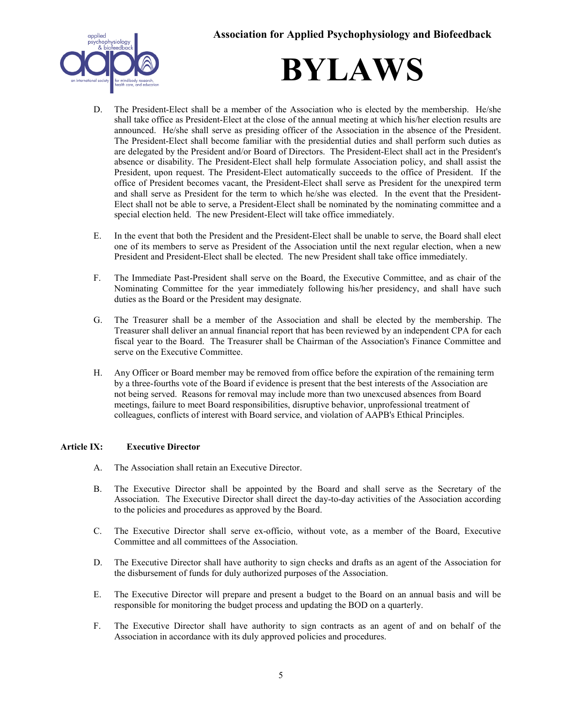



- D. The President-Elect shall be a member of the Association who is elected by the membership. He/she shall take office as President-Elect at the close of the annual meeting at which his/her election results are announced. He/she shall serve as presiding officer of the Association in the absence of the President. The President-Elect shall become familiar with the presidential duties and shall perform such duties as are delegated by the President and/or Board of Directors. The President-Elect shall act in the President's absence or disability. The President-Elect shall help formulate Association policy, and shall assist the President, upon request. The President-Elect automatically succeeds to the office of President. If the office of President becomes vacant, the President-Elect shall serve as President for the unexpired term and shall serve as President for the term to which he/she was elected. In the event that the President-Elect shall not be able to serve, a President-Elect shall be nominated by the nominating committee and a special election held. The new President-Elect will take office immediately.
- E. In the event that both the President and the President-Elect shall be unable to serve, the Board shall elect one of its members to serve as President of the Association until the next regular election, when a new President and President-Elect shall be elected. The new President shall take office immediately.
- F. The Immediate Past-President shall serve on the Board, the Executive Committee, and as chair of the Nominating Committee for the year immediately following his/her presidency, and shall have such duties as the Board or the President may designate.
- G. The Treasurer shall be a member of the Association and shall be elected by the membership. The Treasurer shall deliver an annual financial report that has been reviewed by an independent CPA for each fiscal year to the Board. The Treasurer shall be Chairman of the Association's Finance Committee and serve on the Executive Committee.
- H. Any Officer or Board member may be removed from office before the expiration of the remaining term by a three-fourths vote of the Board if evidence is present that the best interests of the Association are not being served. Reasons for removal may include more than two unexcused absences from Board meetings, failure to meet Board responsibilities, disruptive behavior, unprofessional treatment of colleagues, conflicts of interest with Board service, and violation of AAPB's Ethical Principles.

## **Article IX: Executive Director**

- A. The Association shall retain an Executive Director.
- B. The Executive Director shall be appointed by the Board and shall serve as the Secretary of the Association. The Executive Director shall direct the day-to-day activities of the Association according to the policies and procedures as approved by the Board.
- C. The Executive Director shall serve ex-officio, without vote, as a member of the Board, Executive Committee and all committees of the Association.
- D. The Executive Director shall have authority to sign checks and drafts as an agent of the Association for the disbursement of funds for duly authorized purposes of the Association.
- E. The Executive Director will prepare and present a budget to the Board on an annual basis and will be responsible for monitoring the budget process and updating the BOD on a quarterly.
- F. The Executive Director shall have authority to sign contracts as an agent of and on behalf of the Association in accordance with its duly approved policies and procedures.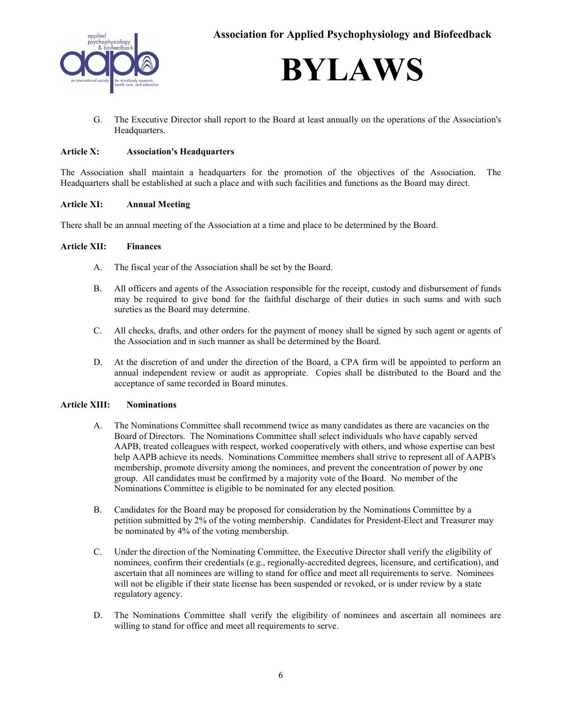



G. The Executive Director shall report to the Board at least annually on the operations of the Association's Headquarters.

### **Article X: Association's Headquarters**

The Association shall maintain a headquarters for the promotion of the objectives of the Association. The Headquarters shall be established at such a place and with such facilities and functions as the Board may direct.

#### **Article XI: Annual Meeting**

There shall be an annual meeting of the Association at a time and place to be determined by the Board.

#### **Article XII: Finances**

- A. The fiscal year of the Association shall be set by the Board.
- B. All officers and agents of the Association responsible for the receipt, custody and disbursement of funds may be required to give bond for the faithful discharge of their duties in such sums and with such sureties as the Board may determine.
- C. All checks, drafts, and other orders for the payment of money shall be signed by such agent or agents of the Association and in such manner as shall be determined by the Board.
- D. At the discretion of and under the direction of the Board, a CPA firm will be appointed to perform an annual independent review or audit as appropriate. Copies shall be distributed to the Board and the acceptance of same recorded in Board minutes.

#### **Article XIII: Nominations**

- A. The Nominations Committee shall recommend twice as many candidates as there are vacancies on the Board of Directors. The Nominations Committee shall select individuals who have capably served AAPB, treated colleagues with respect, worked cooperatively with others, and whose expertise can best help AAPB achieve its needs. Nominations Committee members shall strive to represent all of AAPB's membership, promote diversity among the nominees, and prevent the concentration of power by one group. All candidates must be confirmed by a majority vote of the Board. No member of the Nominations Committee is eligible to be nominated for any elected position.
- B. Candidates for the Board may be proposed for consideration by the Nominations Committee by a petition submitted by 2% of the voting membership. Candidates for President-Elect and Treasurer may be nominated by 4% of the voting membership.
- C. Under the direction of the Nominating Committee, the Executive Director shall verify the eligibility of nominees, confirm their credentials (e.g., regionally-accredited degrees, licensure, and certification), and ascertain that all nominees are willing to stand for office and meet all requirements to serve. Nominees will not be eligible if their state license has been suspended or revoked, or is under review by a state regulatory agency.
- D. The Nominations Committee shall verify the eligibility of nominees and ascertain all nominees are willing to stand for office and meet all requirements to serve.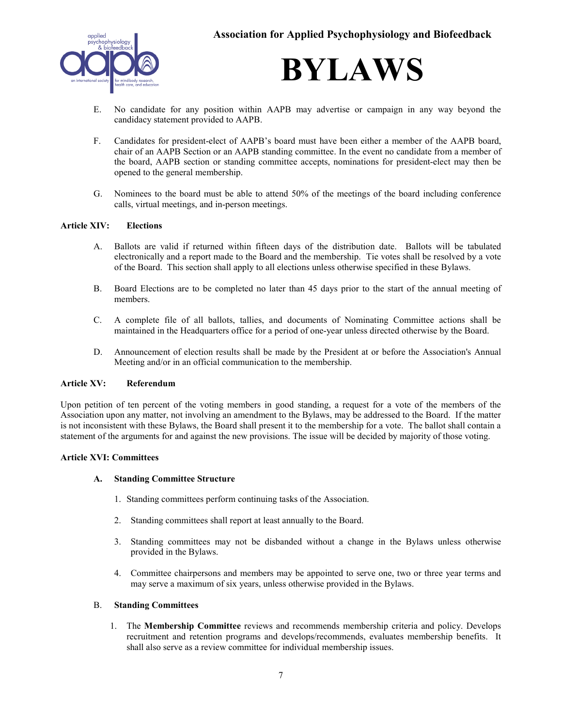

- E. No candidate for any position within AAPB may advertise or campaign in any way beyond the candidacy statement provided to AAPB.
- F. Candidates for president-elect of AAPB's board must have been either a member of the AAPB board, chair of an AAPB Section or an AAPB standing committee. In the event no candidate from a member of the board, AAPB section or standing committee accepts, nominations for president-elect may then be opened to the general membership.
- G. Nominees to the board must be able to attend 50% of the meetings of the board including conference calls, virtual meetings, and in-person meetings.

#### **Article XIV: Elections**

- A. Ballots are valid if returned within fifteen days of the distribution date. Ballots will be tabulated electronically and a report made to the Board and the membership. Tie votes shall be resolved by a vote of the Board. This section shall apply to all elections unless otherwise specified in these Bylaws.
- B. Board Elections are to be completed no later than 45 days prior to the start of the annual meeting of members.
- C. A complete file of all ballots, tallies, and documents of Nominating Committee actions shall be maintained in the Headquarters office for a period of one-year unless directed otherwise by the Board.
- D. Announcement of election results shall be made by the President at or before the Association's Annual Meeting and/or in an official communication to the membership.

#### **Article XV: Referendum**

Upon petition of ten percent of the voting members in good standing, a request for a vote of the members of the Association upon any matter, not involving an amendment to the Bylaws, may be addressed to the Board. If the matter is not inconsistent with these Bylaws, the Board shall present it to the membership for a vote. The ballot shall contain a statement of the arguments for and against the new provisions. The issue will be decided by majority of those voting.

#### **Article XVI: Committees**

#### **A. Standing Committee Structure**

- 1. Standing committees perform continuing tasks of the Association.
- 2. Standing committees shall report at least annually to the Board.
- 3. Standing committees may not be disbanded without a change in the Bylaws unless otherwise provided in the Bylaws.
- 4. Committee chairpersons and members may be appointed to serve one, two or three year terms and may serve a maximum of six years, unless otherwise provided in the Bylaws.

#### B. **Standing Committees**

1. The **Membership Committee** reviews and recommends membership criteria and policy. Develops recruitment and retention programs and develops/recommends, evaluates membership benefits. It shall also serve as a review committee for individual membership issues.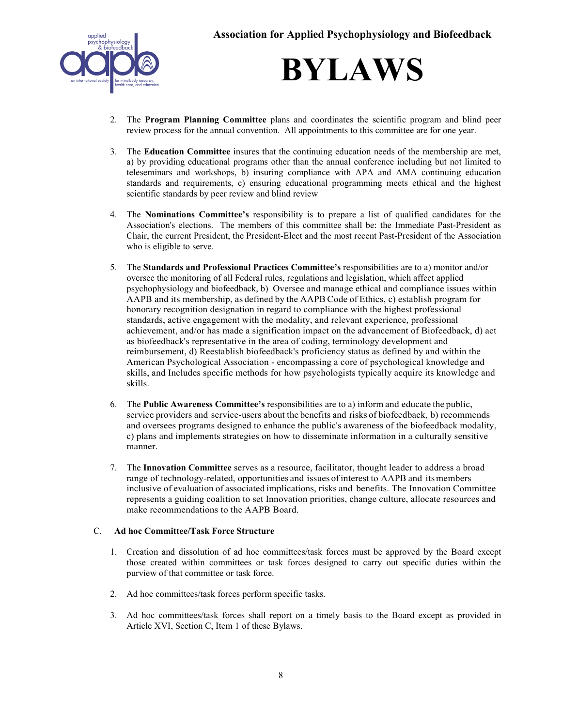

- 2. The **Program Planning Committee** plans and coordinates the scientific program and blind peer review process for the annual convention. All appointments to this committee are for one year.
- 3. The **Education Committee** insures that the continuing education needs of the membership are met, a) by providing educational programs other than the annual conference including but not limited to teleseminars and workshops, b) insuring compliance with APA and AMA continuing education standards and requirements, c) ensuring educational programming meets ethical and the highest scientific standards by peer review and blind review
- 4. The **Nominations Committee's** responsibility is to prepare a list of qualified candidates for the Association's elections. The members of this committee shall be: the Immediate Past-President as Chair, the current President, the President-Elect and the most recent Past-President of the Association who is eligible to serve.
- 5. The **Standards and Professional Practices Committee's** responsibilities are to a) monitor and/or oversee the monitoring of all Federal rules, regulations and legislation, which affect applied psychophysiology and biofeedback, b) Oversee and manage ethical and compliance issues within AAPB and its membership, as defined by the AAPB Code of Ethics, c) establish program for honorary recognition designation in regard to compliance with the highest professional standards, active engagement with the modality, and relevant experience, professional achievement, and/or has made a signification impact on the advancement of Biofeedback, d) act as biofeedback's representative in the area of coding, terminology development and reimbursement, d) Reestablish biofeedback's proficiency status as defined by and within the American Psychological Association - encompassing a core of psychological knowledge and skills, and Includes specific methods for how psychologists typically acquire its knowledge and skills.
- 6. The **Public Awareness Committee's** responsibilities are to a) inform and educate the public, service providers and service-users about the benefits and risks of biofeedback, b) recommends and oversees programs designed to enhance the public's awareness of the biofeedback modality, c) plans and implements strategies on how to disseminate information in a culturally sensitive manner.
- 7. The **Innovation Committee** serves as a resource, facilitator, thought leader to address a broad range of technology-related, opportunities and issues of interest to AAPB and itsmembers inclusive of evaluation of associated implications, risks and benefits. The Innovation Committee represents a guiding coalition to set Innovation priorities, change culture, allocate resources and make recommendations to the AAPB Board.

## C. **Ad hoc Committee/Task Force Structure**

- 1. Creation and dissolution of ad hoc committees/task forces must be approved by the Board except those created within committees or task forces designed to carry out specific duties within the purview of that committee or task force.
- 2. Ad hoc committees/task forces perform specific tasks.
- 3. Ad hoc committees/task forces shall report on a timely basis to the Board except as provided in Article XVI, Section C, Item 1 of these Bylaws.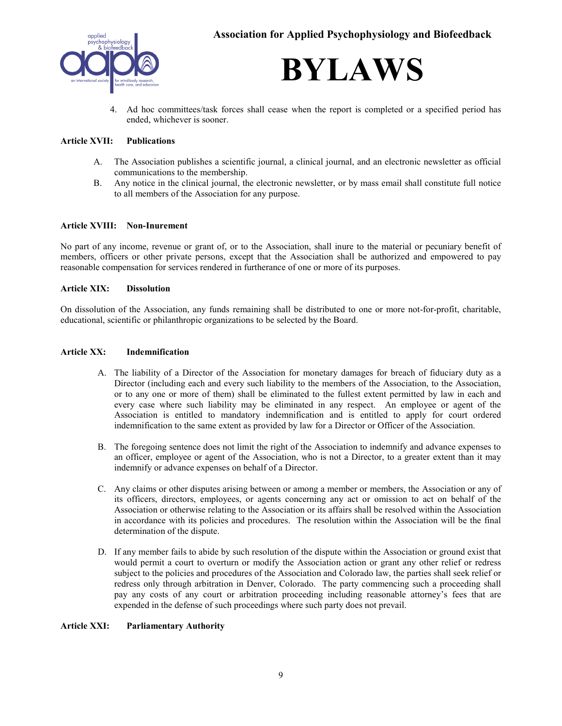



Ad hoc committees/task forces shall cease when the report is completed or a specified period has ended, whichever is sooner.

## **Article XVII: Publications**

- A. The Association publishes a scientific journal, a clinical journal, and an electronic newsletter as official communications to the membership.
- B. Any notice in the clinical journal, the electronic newsletter, or by mass email shall constitute full notice to all members of the Association for any purpose.

#### **Article XVIII: Non-Inurement**

No part of any income, revenue or grant of, or to the Association, shall inure to the material or pecuniary benefit of members, officers or other private persons, except that the Association shall be authorized and empowered to pay reasonable compensation for services rendered in furtherance of one or more of its purposes.

#### **Article XIX: Dissolution**

On dissolution of the Association, any funds remaining shall be distributed to one or more not-for-profit, charitable, educational, scientific or philanthropic organizations to be selected by the Board.

#### **Article XX: Indemnification**

- A. The liability of a Director of the Association for monetary damages for breach of fiduciary duty as a Director (including each and every such liability to the members of the Association, to the Association, or to any one or more of them) shall be eliminated to the fullest extent permitted by law in each and every case where such liability may be eliminated in any respect. An employee or agent of the Association is entitled to mandatory indemnification and is entitled to apply for court ordered indemnification to the same extent as provided by law for a Director or Officer of the Association.
- B. The foregoing sentence does not limit the right of the Association to indemnify and advance expenses to an officer, employee or agent of the Association, who is not a Director, to a greater extent than it may indemnify or advance expenses on behalf of a Director.
- C. Any claims or other disputes arising between or among a member or members, the Association or any of its officers, directors, employees, or agents concerning any act or omission to act on behalf of the Association or otherwise relating to the Association or its affairs shall be resolved within the Association in accordance with its policies and procedures. The resolution within the Association will be the final determination of the dispute.
- D. If any member fails to abide by such resolution of the dispute within the Association or ground exist that would permit a court to overturn or modify the Association action or grant any other relief or redress subject to the policies and procedures of the Association and Colorado law, the parties shall seek relief or redress only through arbitration in Denver, Colorado. The party commencing such a proceeding shall pay any costs of any court or arbitration proceeding including reasonable attorney's fees that are expended in the defense of such proceedings where such party does not prevail.

#### **Article XXI: Parliamentary Authority**